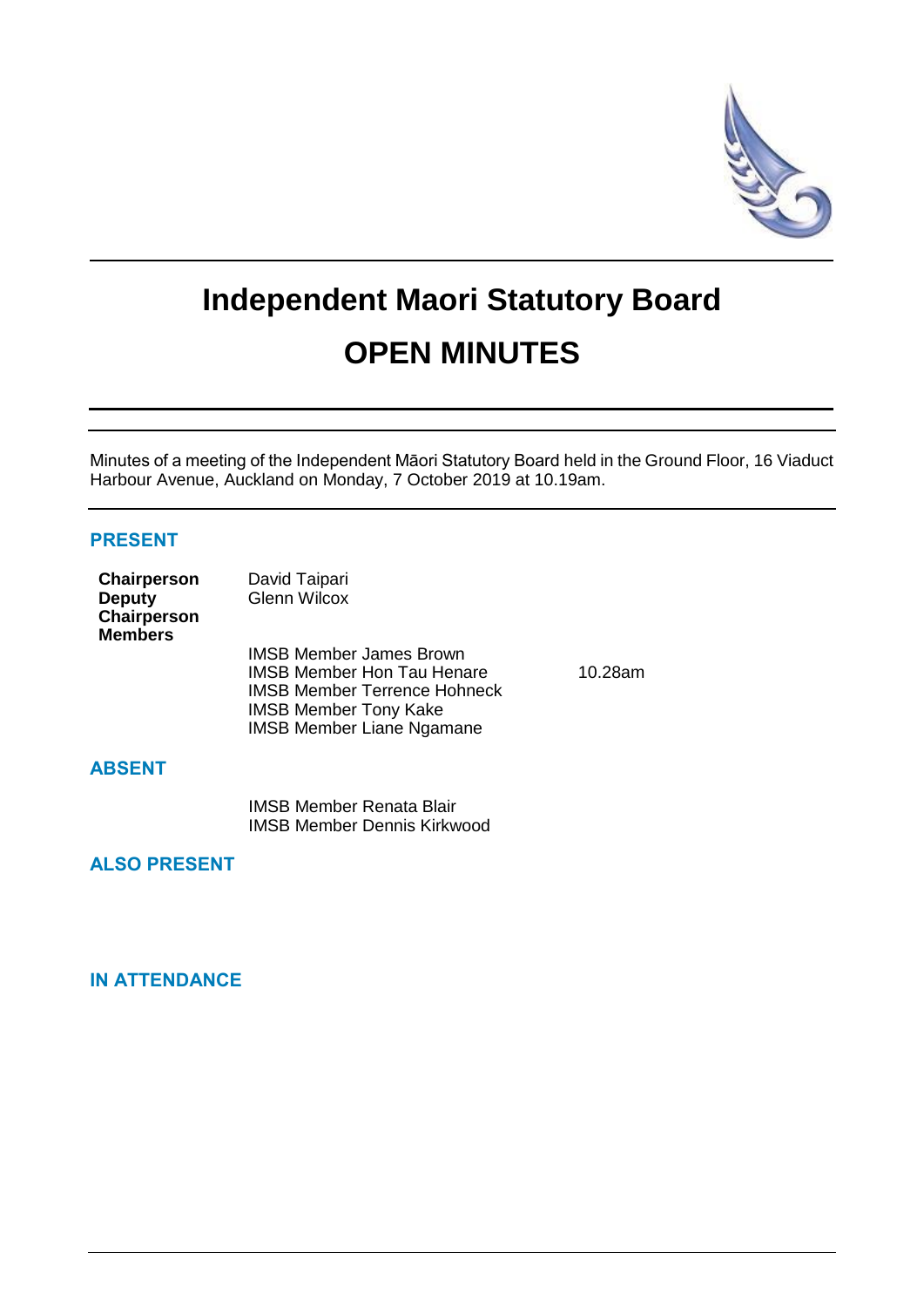

# **Independent Maori Statutory Board OPEN MINUTES**

Minutes of a meeting of the Independent Māori Statutory Board held in the Ground Floor, 16 Viaduct Harbour Avenue, Auckland on Monday, 7 October 2019 at 10.19am.

## **PRESENT**

| Chairperson<br><b>Deputy</b><br>Chairperson<br><b>Members</b> | David Taipari<br><b>Glenn Wilcox</b>                                                                                                                                           |         |
|---------------------------------------------------------------|--------------------------------------------------------------------------------------------------------------------------------------------------------------------------------|---------|
|                                                               | <b>IMSB Member James Brown</b><br><b>IMSB Member Hon Tau Henare</b><br><b>IMSB Member Terrence Hohneck</b><br><b>IMSB Member Tony Kake</b><br><b>IMSB Member Liane Ngamane</b> | 10.28am |

## **ABSENT**

IMSB Member Renata Blair IMSB Member Dennis Kirkwood

## **ALSO PRESENT**

# **IN ATTENDANCE**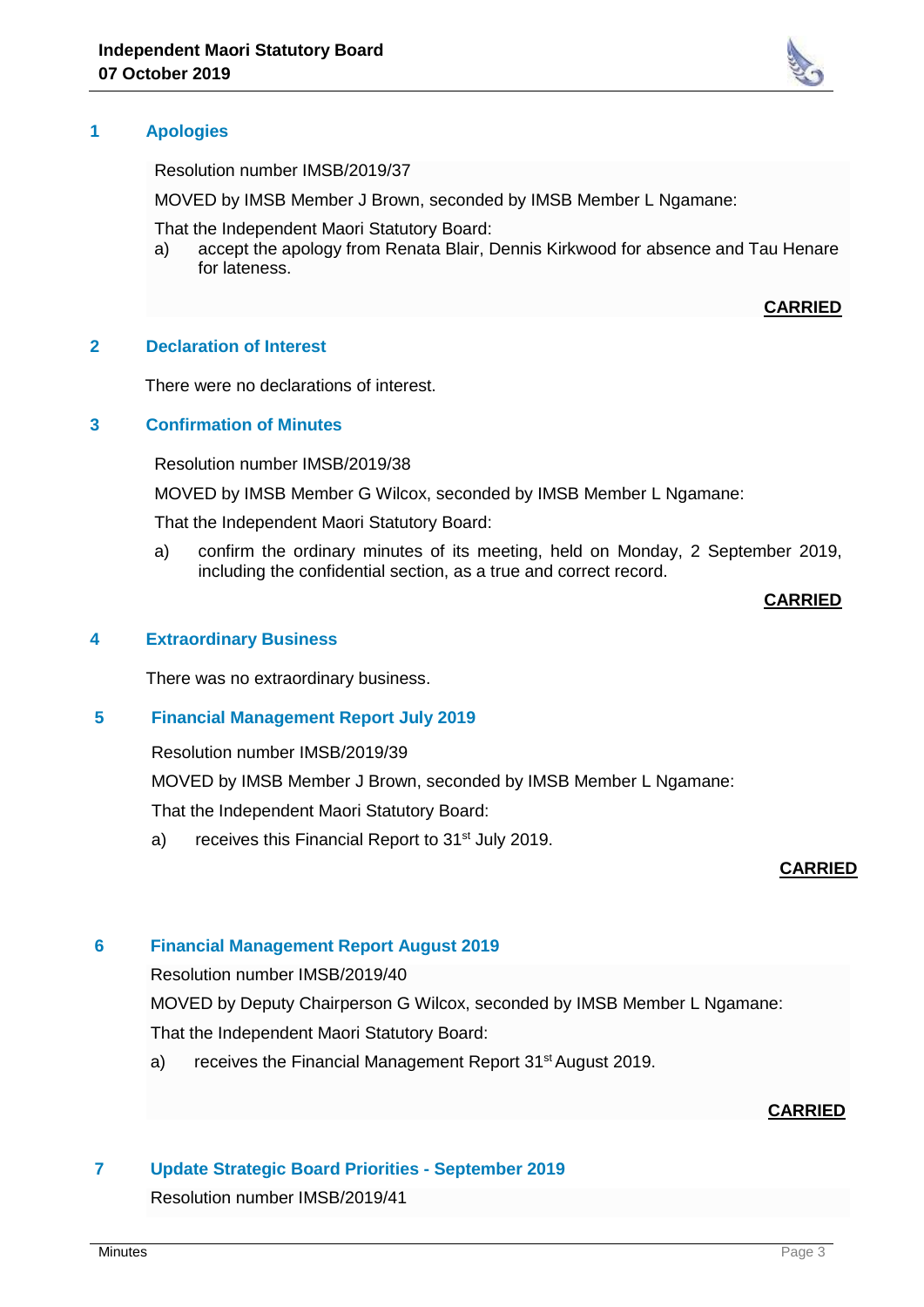

Resolution number IMSB/2019/37

MOVED by IMSB Member J Brown, seconded by IMSB Member L Ngamane:

That the Independent Maori Statutory Board:

a) accept the apology from Renata Blair, Dennis Kirkwood for absence and Tau Henare for lateness.

#### **CARRIED**

#### **2 Declaration of Interest**

There were no declarations of interest.

#### **3 Confirmation of Minutes**

Resolution number IMSB/2019/38

MOVED by IMSB Member G Wilcox, seconded by IMSB Member L Ngamane:

That the Independent Maori Statutory Board:

a) confirm the ordinary minutes of its meeting, held on Monday, 2 September 2019, including the confidential section, as a true and correct record.

#### **CARRIED**

#### **4 Extraordinary Business**

There was no extraordinary business.

## **5 Financial Management Report July 2019**

Resolution number IMSB/2019/39

MOVED by IMSB Member J Brown, seconded by IMSB Member L Ngamane:

That the Independent Maori Statutory Board:

a) receives this Financial Report to 31<sup>st</sup> July 2019.

#### **CARRIED**

#### **6 Financial Management Report August 2019**

Resolution number IMSB/2019/40

MOVED by Deputy Chairperson G Wilcox, seconded by IMSB Member L Ngamane:

That the Independent Maori Statutory Board:

a) receives the Financial Management Report 31<sup>st</sup> August 2019.

## **CARRIED**

#### **7 Update Strategic Board Priorities - September 2019**

Resolution number IMSB/2019/41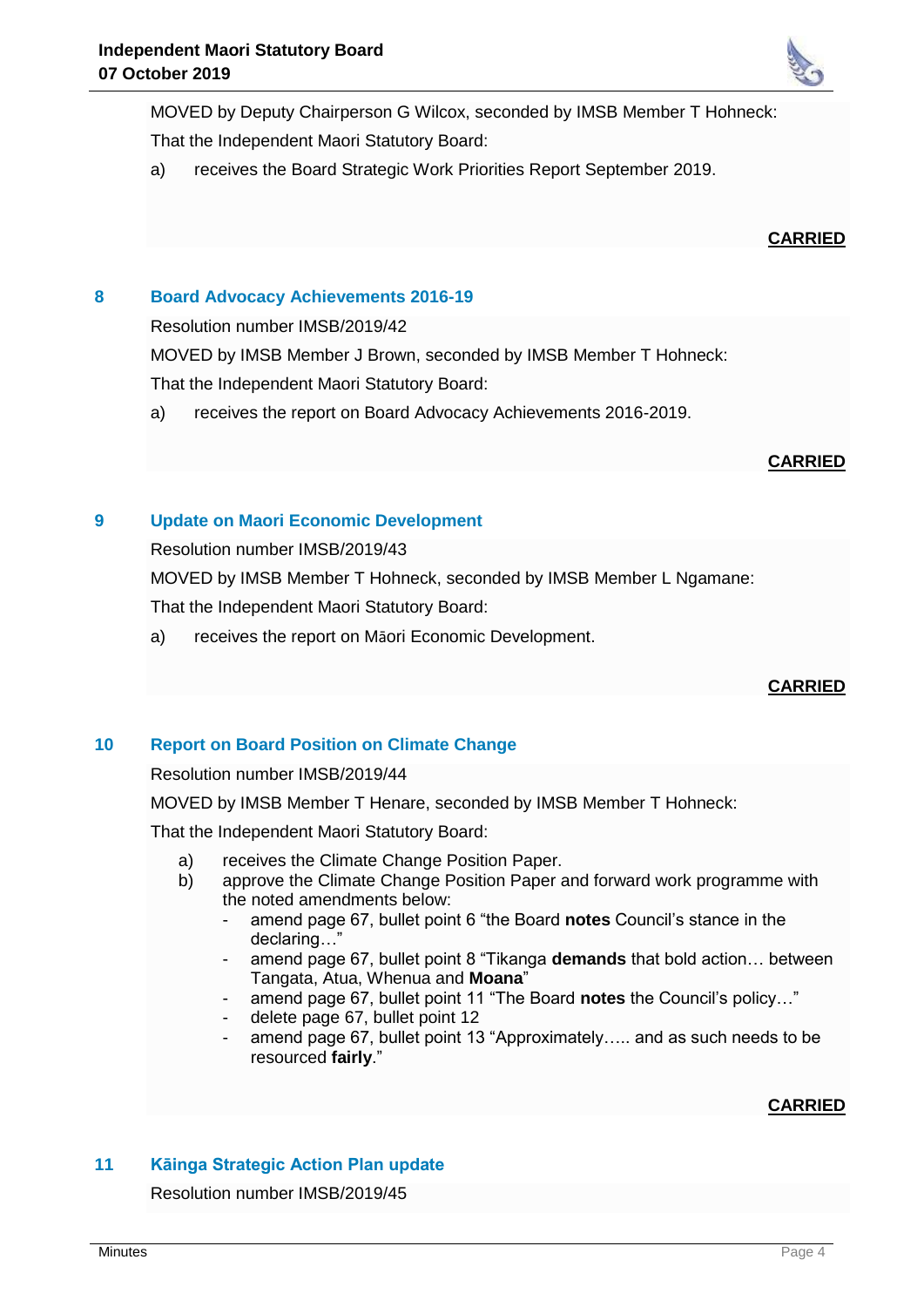

MOVED by Deputy Chairperson G Wilcox, seconded by IMSB Member T Hohneck: That the Independent Maori Statutory Board:

a) receives the Board Strategic Work Priorities Report September 2019.

#### **CARRIED**

## **8 Board Advocacy Achievements 2016-19**

Resolution number IMSB/2019/42

MOVED by IMSB Member J Brown, seconded by IMSB Member T Hohneck:

That the Independent Maori Statutory Board:

a) receives the report on Board Advocacy Achievements 2016-2019.

#### **CARRIED**

## **9 Update on Maori Economic Development**

Resolution number IMSB/2019/43

MOVED by IMSB Member T Hohneck, seconded by IMSB Member L Ngamane:

That the Independent Maori Statutory Board:

a) receives the report on Māori Economic Development.

## **CARRIED**

## **10 Report on Board Position on Climate Change**

Resolution number IMSB/2019/44

MOVED by IMSB Member T Henare, seconded by IMSB Member T Hohneck:

That the Independent Maori Statutory Board:

- a) receives the Climate Change Position Paper.
- b) approve the Climate Change Position Paper and forward work programme with the noted amendments below:
	- amend page 67, bullet point 6 "the Board **notes** Council's stance in the declaring…"
	- amend page 67, bullet point 8 "Tikanga **demands** that bold action... between Tangata, Atua, Whenua and **Moana**"
	- amend page 67, bullet point 11 "The Board **notes** the Council's policy…"
	- delete page 67, bullet point 12
	- amend page 67, bullet point 13 "Approximately..... and as such needs to be resourced **fairly**."

## **CARRIED**

# **11 Kāinga Strategic Action Plan update**

Resolution number IMSB/2019/45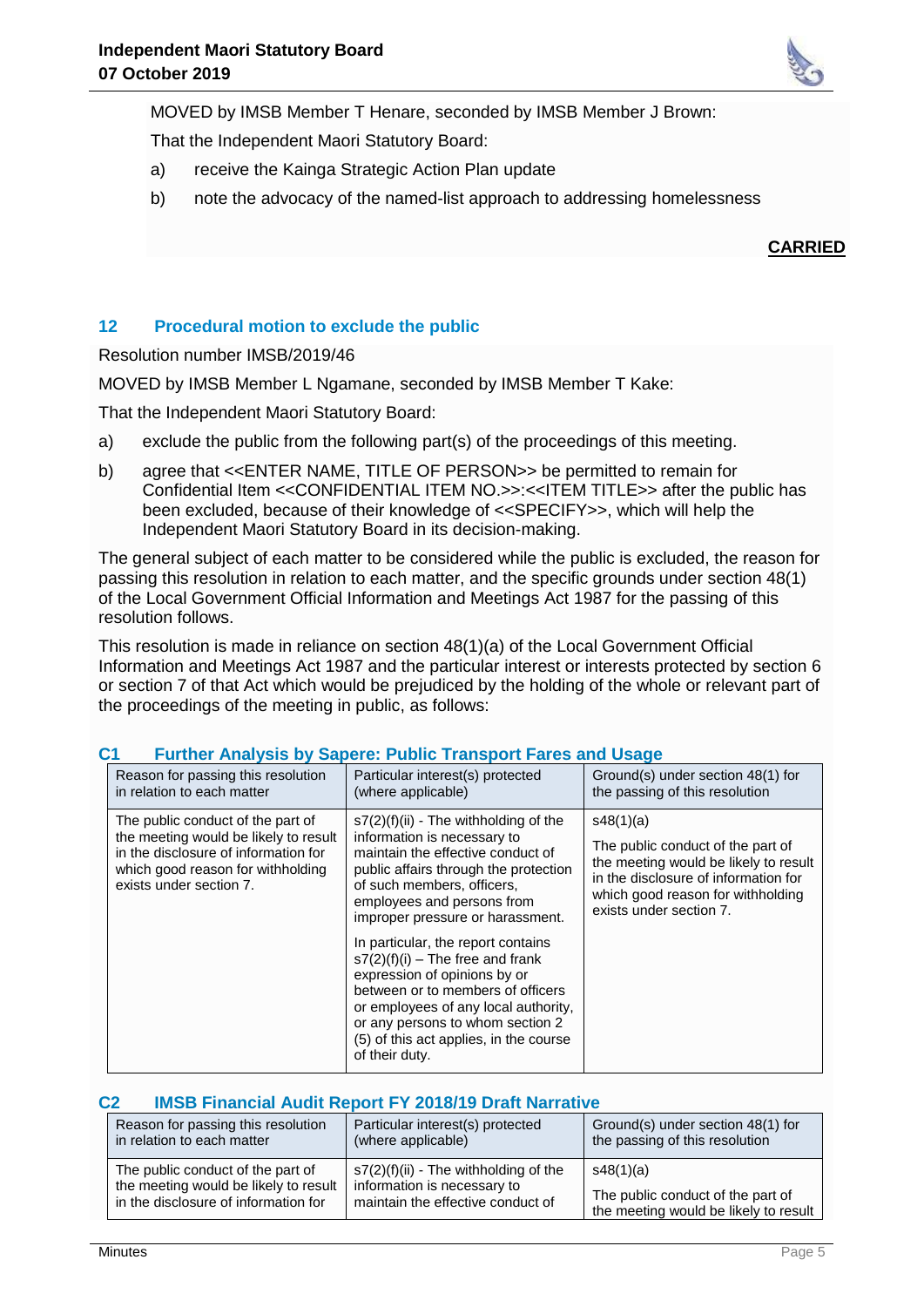

That the Independent Maori Statutory Board:

- a) receive the Kainga Strategic Action Plan update
- b) note the advocacy of the named-list approach to addressing homelessness

**CARRIED**

## **12 Procedural motion to exclude the public**

Resolution number IMSB/2019/46

MOVED by IMSB Member L Ngamane, seconded by IMSB Member T Kake:

That the Independent Maori Statutory Board:

- a) exclude the public from the following part(s) of the proceedings of this meeting.
- b) agree that <<ENTER NAME, TITLE OF PERSON>> be permitted to remain for Confidential Item <<CONFIDENTIAL ITEM NO.>>:<<ITEM TITLE>> after the public has been excluded, because of their knowledge of <<SPECIFY>>, which will help the Independent Maori Statutory Board in its decision-making.

The general subject of each matter to be considered while the public is excluded, the reason for passing this resolution in relation to each matter, and the specific grounds under section 48(1) of the Local Government Official Information and Meetings Act 1987 for the passing of this resolution follows.

This resolution is made in reliance on section 48(1)(a) of the Local Government Official Information and Meetings Act 1987 and the particular interest or interests protected by section 6 or section 7 of that Act which would be prejudiced by the holding of the whole or relevant part of the proceedings of the meeting in public, as follows:

| Reason for passing this resolution<br>in relation to each matter                                                                                                                   | Particular interest(s) protected<br>(where applicable)                                                                                                                                                                                                                                | Ground(s) under section 48(1) for<br>the passing of this resolution                                                                                                                             |
|------------------------------------------------------------------------------------------------------------------------------------------------------------------------------------|---------------------------------------------------------------------------------------------------------------------------------------------------------------------------------------------------------------------------------------------------------------------------------------|-------------------------------------------------------------------------------------------------------------------------------------------------------------------------------------------------|
| The public conduct of the part of<br>the meeting would be likely to result<br>in the disclosure of information for<br>which good reason for withholding<br>exists under section 7. | $s7(2)(f)(ii)$ - The withholding of the<br>information is necessary to<br>maintain the effective conduct of<br>public affairs through the protection<br>of such members, officers.<br>employees and persons from<br>improper pressure or harassment.                                  | s48(1)(a)<br>The public conduct of the part of<br>the meeting would be likely to result<br>in the disclosure of information for<br>which good reason for withholding<br>exists under section 7. |
|                                                                                                                                                                                    | In particular, the report contains<br>$s7(2)(f)(i)$ – The free and frank<br>expression of opinions by or<br>between or to members of officers<br>or employees of any local authority,<br>or any persons to whom section 2<br>(5) of this act applies, in the course<br>of their duty. |                                                                                                                                                                                                 |

## **C1 Further Analysis by Sapere: Public Transport Fares and Usage**

#### **C2 IMSB Financial Audit Report FY 2018/19 Draft Narrative**

| Reason for passing this resolution    | Particular interest(s) protected        | Ground(s) under section 48(1) for     |
|---------------------------------------|-----------------------------------------|---------------------------------------|
| in relation to each matter            | (where applicable)                      | the passing of this resolution        |
| The public conduct of the part of     | $s7(2)(f)(ii)$ - The withholding of the | s48(1)(a)                             |
| the meeting would be likely to result | information is necessary to             | The public conduct of the part of     |
| in the disclosure of information for  | maintain the effective conduct of       | the meeting would be likely to result |